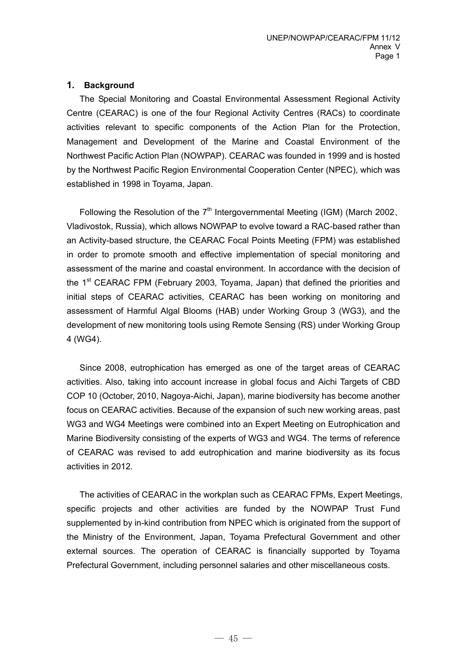#### **1. Background**

The Special Monitoring and Coastal Environmental Assessment Regional Activity Centre (CEARAC) is one of the four Regional Activity Centres (RACs) to coordinate activities relevant to specific components of the Action Plan for the Protection, Management and Development of the Marine and Coastal Environment of the Northwest Pacific Action Plan (NOWPAP). CEARAC was founded in 1999 and is hosted by the Northwest Pacific Region Environmental Cooperation Center (NPEC), which was established in 1998 in Toyama, Japan.

Following the Resolution of the  $7<sup>th</sup>$  Intergovernmental Meeting (IGM) (March 2002, Vladivostok, Russia), which allows NOWPAP to evolve toward a RAC-based rather than an Activity-based structure, the CEARAC Focal Points Meeting (FPM) was established in order to promote smooth and effective implementation of special monitoring and assessment of the marine and coastal environment. In accordance with the decision of the  $1<sup>st</sup>$  CEARAC FPM (February 2003, Toyama, Japan) that defined the priorities and initial steps of CEARAC activities, CEARAC has been working on monitoring and assessment of Harmful Algal Blooms (HAB) under Working Group 3 (WG3), and the development of new monitoring tools using Remote Sensing (RS) under Working Group 4 (WG4).

Since 2008, eutrophication has emerged as one of the target areas of CEARAC activities. Also, taking into account increase in global focus and Aichi Targets of CBD COP 10 (October, 2010, Nagoya-Aichi, Japan), marine biodiversity has become another focus on CEARAC activities. Because of the expansion of such new working areas, past WG3 and WG4 Meetings were combined into an Expert Meeting on Eutrophication and Marine Biodiversity consisting of the experts of WG3 and WG4. The terms of reference of CEARAC was revised to add eutrophication and marine biodiversity as its focus activities in 2012.

The activities of CEARAC in the workplan such as CEARAC FPMs, Expert Meetings, specific projects and other activities are funded by the NOWPAP Trust Fund supplemented by in-kind contribution from NPEC which is originated from the support of the Ministry of the Environment, Japan, Toyama Prefectural Government and other external sources. The operation of CEARAC is financially supported by Toyama Prefectural Government, including personnel salaries and other miscellaneous costs.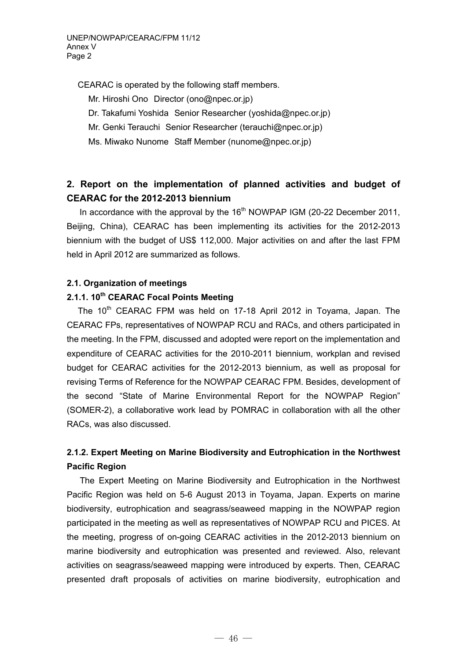CEARAC is operated by the following staff members.

Mr. Hiroshi Ono Director (ono@npec.or.jp)

Dr. Takafumi Yoshida Senior Researcher (yoshida@npec.or.jp)

- Mr. Genki Terauchi Senior Researcher (terauchi@npec.or.jp)
- Ms. Miwako Nunome Staff Member (nunome@npec.or.jp)

# **2. Report on the implementation of planned activities and budget of CEARAC for the 2012-2013 biennium**

In accordance with the approval by the  $16<sup>th</sup>$  NOWPAP IGM (20-22 December 2011, Beijing, China), CEARAC has been implementing its activities for the 2012-2013 biennium with the budget of US\$ 112,000. Major activities on and after the last FPM held in April 2012 are summarized as follows.

#### **2.1. Organization of meetings**

### **2.1.1. 10th CEARAC Focal Points Meeting**

The 10<sup>th</sup> CEARAC FPM was held on 17-18 April 2012 in Toyama, Japan. The CEARAC FPs, representatives of NOWPAP RCU and RACs, and others participated in the meeting. In the FPM, discussed and adopted were report on the implementation and expenditure of CEARAC activities for the 2010-2011 biennium, workplan and revised budget for CEARAC activities for the 2012-2013 biennium, as well as proposal for revising Terms of Reference for the NOWPAP CEARAC FPM. Besides, development of the second "State of Marine Environmental Report for the NOWPAP Region" (SOMER-2), a collaborative work lead by POMRAC in collaboration with all the other RACs, was also discussed.

## **2.1.2. Expert Meeting on Marine Biodiversity and Eutrophication in the Northwest Pacific Region**

 The Expert Meeting on Marine Biodiversity and Eutrophication in the Northwest Pacific Region was held on 5-6 August 2013 in Toyama, Japan. Experts on marine biodiversity, eutrophication and seagrass/seaweed mapping in the NOWPAP region participated in the meeting as well as representatives of NOWPAP RCU and PICES. At the meeting, progress of on-going CEARAC activities in the 2012-2013 biennium on marine biodiversity and eutrophication was presented and reviewed. Also, relevant activities on seagrass/seaweed mapping were introduced by experts. Then, CEARAC presented draft proposals of activities on marine biodiversity, eutrophication and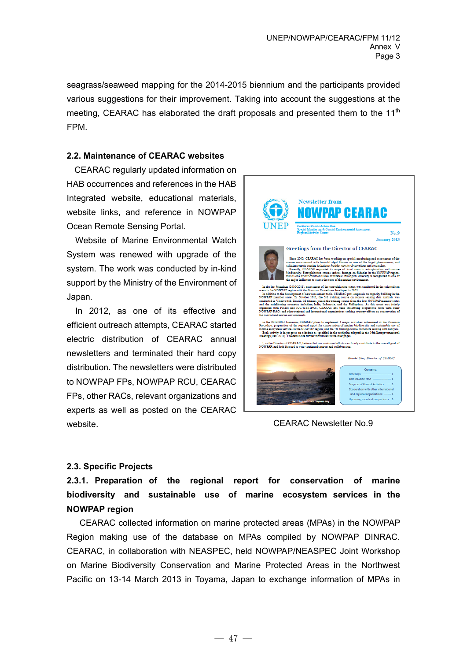seagrass/seaweed mapping for the 2014-2015 biennium and the participants provided various suggestions for their improvement. Taking into account the suggestions at the meeting, CEARAC has elaborated the draft proposals and presented them to the  $11<sup>th</sup>$ FPM.

#### **2.2. Maintenance of CEARAC websites**

CEARAC regularly updated information on HAB occurrences and references in the HAB Integrated website, educational materials, website links, and reference in NOWPAP Ocean Remote Sensing Portal.

Website of Marine Environmental Watch System was renewed with upgrade of the system. The work was conducted by in-kind support by the Ministry of the Environment of Japan.

In 2012, as one of its effective and efficient outreach attempts, CEARAC started electric distribution of CEARAC annual newsletters and terminated their hard copy distribution. The newsletters were distributed to NOWPAP FPs, NOWPAP RCU, CEARAC FPs, other RACs, relevant organizations and experts as well as posted on the CEARAC website.



CEARAC Newsletter No.9

#### **2.3. Specific Projects**

**2.3.1. Preparation of the regional report for conservation of marine biodiversity and sustainable use of marine ecosystem services in the NOWPAP region** 

CEARAC collected information on marine protected areas (MPAs) in the NOWPAP Region making use of the database on MPAs compiled by NOWPAP DINRAC. CEARAC, in collaboration with NEASPEC, held NOWPAP/NEASPEC Joint Workshop on Marine Biodiversity Conservation and Marine Protected Areas in the Northwest Pacific on 13-14 March 2013 in Toyama, Japan to exchange information of MPAs in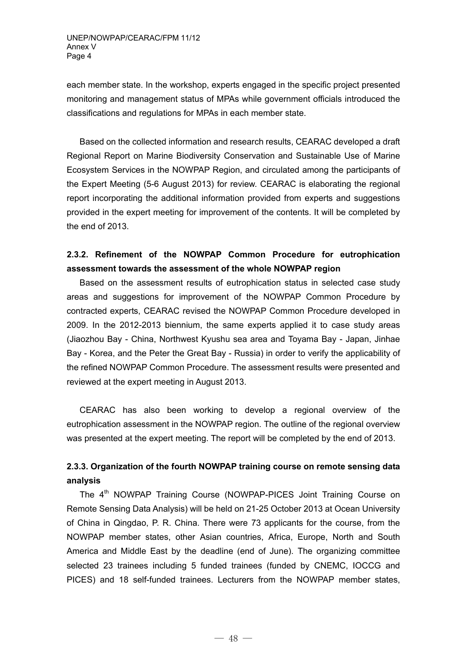each member state. In the workshop, experts engaged in the specific project presented monitoring and management status of MPAs while government officials introduced the classifications and regulations for MPAs in each member state.

Based on the collected information and research results, CEARAC developed a draft Regional Report on Marine Biodiversity Conservation and Sustainable Use of Marine Ecosystem Services in the NOWPAP Region, and circulated among the participants of the Expert Meeting (5-6 August 2013) for review. CEARAC is elaborating the regional report incorporating the additional information provided from experts and suggestions provided in the expert meeting for improvement of the contents. It will be completed by the end of 2013.

## **2.3.2. Refinement of the NOWPAP Common Procedure for eutrophication assessment towards the assessment of the whole NOWPAP region**

Based on the assessment results of eutrophication status in selected case study areas and suggestions for improvement of the NOWPAP Common Procedure by contracted experts, CEARAC revised the NOWPAP Common Procedure developed in 2009. In the 2012-2013 biennium, the same experts applied it to case study areas (Jiaozhou Bay - China, Northwest Kyushu sea area and Toyama Bay - Japan, Jinhae Bay - Korea, and the Peter the Great Bay - Russia) in order to verify the applicability of the refined NOWPAP Common Procedure. The assessment results were presented and reviewed at the expert meeting in August 2013.

CEARAC has also been working to develop a regional overview of the eutrophication assessment in the NOWPAP region. The outline of the regional overview was presented at the expert meeting. The report will be completed by the end of 2013.

## **2.3.3. Organization of the fourth NOWPAP training course on remote sensing data analysis**

The 4<sup>th</sup> NOWPAP Training Course (NOWPAP-PICES Joint Training Course on Remote Sensing Data Analysis) will be held on 21-25 October 2013 at Ocean University of China in Qingdao, P. R. China. There were 73 applicants for the course, from the NOWPAP member states, other Asian countries, Africa, Europe, North and South America and Middle East by the deadline (end of June). The organizing committee selected 23 trainees including 5 funded trainees (funded by CNEMC, IOCCG and PICES) and 18 self-funded trainees. Lecturers from the NOWPAP member states,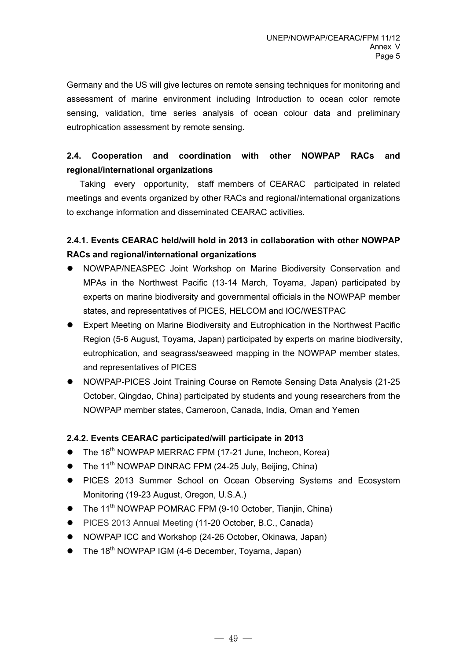Germany and the US will give lectures on remote sensing techniques for monitoring and assessment of marine environment including Introduction to ocean color remote sensing, validation, time series analysis of ocean colour data and preliminary eutrophication assessment by remote sensing.

## **2.4. Cooperation and coordination with other NOWPAP RACs and regional/international organizations**

Taking every opportunity, staff members of CEARAC participated in related meetings and events organized by other RACs and regional/international organizations to exchange information and disseminated CEARAC activities.

## **2.4.1. Events CEARAC held/will hold in 2013 in collaboration with other NOWPAP RACs and regional/international organizations**

- NOWPAP/NEASPEC Joint Workshop on Marine Biodiversity Conservation and MPAs in the Northwest Pacific (13-14 March, Toyama, Japan) participated by experts on marine biodiversity and governmental officials in the NOWPAP member states, and representatives of PICES, HELCOM and IOC/WESTPAC
- Expert Meeting on Marine Biodiversity and Eutrophication in the Northwest Pacific Region (5-6 August, Toyama, Japan) participated by experts on marine biodiversity, eutrophication, and seagrass/seaweed mapping in the NOWPAP member states, and representatives of PICES
- NOWPAP-PICES Joint Training Course on Remote Sensing Data Analysis (21-25 October, Qingdao, China) participated by students and young researchers from the NOWPAP member states, Cameroon, Canada, India, Oman and Yemen

#### **2.4.2. Events CEARAC participated/will participate in 2013**

- The 16<sup>th</sup> NOWPAP MERRAC FPM (17-21 June, Incheon, Korea)
- $\bullet$  The 11<sup>th</sup> NOWPAP DINRAC FPM (24-25 July, Beijing, China)
- PICES 2013 Summer School on Ocean Observing Systems and Ecosystem Monitoring (19-23 August, Oregon, U.S.A.)
- $\bullet$  The 11<sup>th</sup> NOWPAP POMRAC FPM (9-10 October, Tianjin, China)
- PICES 2013 Annual Meeting (11-20 October, B.C., Canada)
- NOWPAP ICC and Workshop (24-26 October, Okinawa, Japan)
- $\bullet$  The 18<sup>th</sup> NOWPAP IGM (4-6 December, Toyama, Japan)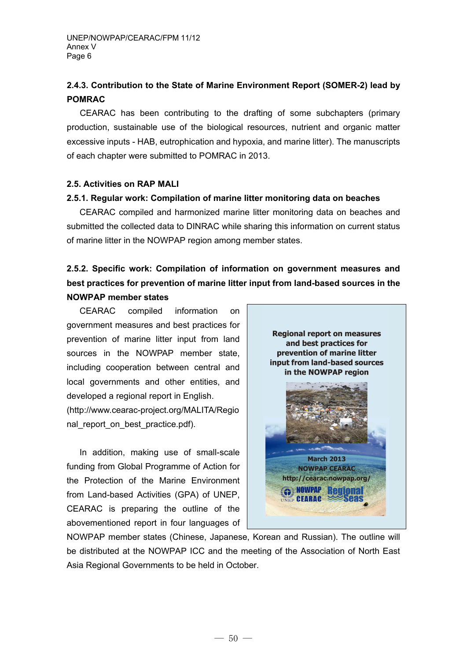## **2.4.3. Contribution to the State of Marine Environment Report (SOMER-2) lead by POMRAC**

 CEARAC has been contributing to the drafting of some subchapters (primary production, sustainable use of the biological resources, nutrient and organic matter excessive inputs - HAB, eutrophication and hypoxia, and marine litter). The manuscripts of each chapter were submitted to POMRAC in 2013.

#### **2.5. Activities on RAP MALI**

#### **2.5.1. Regular work: Compilation of marine litter monitoring data on beaches**

CEARAC compiled and harmonized marine litter monitoring data on beaches and submitted the collected data to DINRAC while sharing this information on current status of marine litter in the NOWPAP region among member states.

## **2.5.2. Specific work: Compilation of information on government measures and best practices for prevention of marine litter input from land-based sources in the NOWPAP member states**

CEARAC compiled information on government measures and best practices for prevention of marine litter input from land sources in the NOWPAP member state, including cooperation between central and local governments and other entities, and developed a regional report in English. (http://www.cearac-project.org/MALITA/Regio nal\_report\_on\_best\_practice.pdf).

In addition, making use of small-scale funding from Global Programme of Action for the Protection of the Marine Environment from Land-based Activities (GPA) of UNEP, CEARAC is preparing the outline of the abovementioned report in four languages of



NOWPAP member states (Chinese, Japanese, Korean and Russian). The outline will be distributed at the NOWPAP ICC and the meeting of the Association of North East Asia Regional Governments to be held in October.